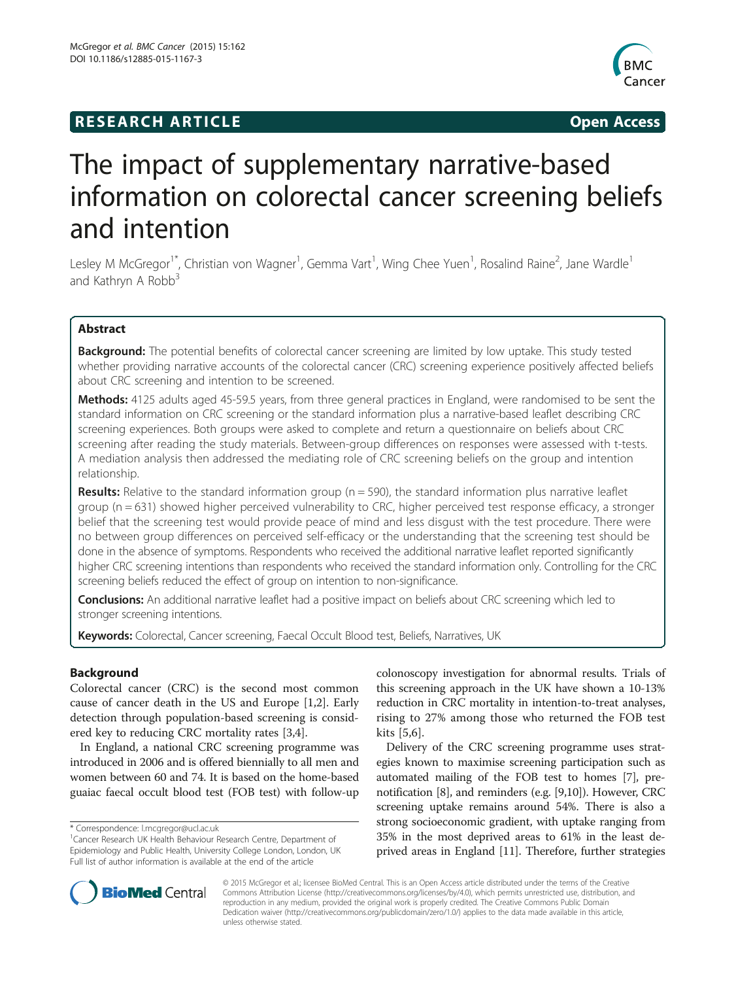# **RESEARCH ARTICLE Example 2014 CONSIDERING CONSIDERING CONSIDERING CONSIDERING CONSIDERING CONSIDERING CONSIDERING CONSIDERING CONSIDERING CONSIDERING CONSIDERING CONSIDERING CONSIDERING CONSIDERING CONSIDERING CONSIDE**



# The impact of supplementary narrative-based information on colorectal cancer screening beliefs and intention

Lesley M McGregor<sup>1\*</sup>, Christian von Wagner<sup>1</sup>, Gemma Vart<sup>1</sup>, Wing Chee Yuen<sup>1</sup>, Rosalind Raine<sup>2</sup>, Jane Wardle<sup>1</sup> and Kathryn A Robb<sup>3</sup>

# Abstract

Background: The potential benefits of colorectal cancer screening are limited by low uptake. This study tested whether providing narrative accounts of the colorectal cancer (CRC) screening experience positively affected beliefs about CRC screening and intention to be screened.

Methods: 4125 adults aged 45-59.5 years, from three general practices in England, were randomised to be sent the standard information on CRC screening or the standard information plus a narrative-based leaflet describing CRC screening experiences. Both groups were asked to complete and return a questionnaire on beliefs about CRC screening after reading the study materials. Between-group differences on responses were assessed with t-tests. A mediation analysis then addressed the mediating role of CRC screening beliefs on the group and intention relationship.

**Results:** Relative to the standard information group ( $n = 590$ ), the standard information plus narrative leaflet group (n = 631) showed higher perceived vulnerability to CRC, higher perceived test response efficacy, a stronger belief that the screening test would provide peace of mind and less disgust with the test procedure. There were no between group differences on perceived self-efficacy or the understanding that the screening test should be done in the absence of symptoms. Respondents who received the additional narrative leaflet reported significantly higher CRC screening intentions than respondents who received the standard information only. Controlling for the CRC screening beliefs reduced the effect of group on intention to non-significance.

**Conclusions:** An additional narrative leaflet had a positive impact on beliefs about CRC screening which led to stronger screening intentions.

Keywords: Colorectal, Cancer screening, Faecal Occult Blood test, Beliefs, Narratives, UK

# Background

Colorectal cancer (CRC) is the second most common cause of cancer death in the US and Europe [[1,2\]](#page-7-0). Early detection through population-based screening is considered key to reducing CRC mortality rates [[3,4\]](#page-7-0).

In England, a national CRC screening programme was introduced in 2006 and is offered biennially to all men and women between 60 and 74. It is based on the home-based guaiac faecal occult blood test (FOB test) with follow-up

colonoscopy investigation for abnormal results. Trials of this screening approach in the UK have shown a 10-13% reduction in CRC mortality in intention-to-treat analyses, rising to 27% among those who returned the FOB test kits [[5,6](#page-7-0)].

Delivery of the CRC screening programme uses strategies known to maximise screening participation such as automated mailing of the FOB test to homes [\[7\]](#page-7-0), prenotification [\[8](#page-7-0)], and reminders (e.g. [[9,10](#page-7-0)]). However, CRC screening uptake remains around 54%. There is also a strong socioeconomic gradient, with uptake ranging from 35% in the most deprived areas to 61% in the least deprived areas in England [\[11\]](#page-7-0). Therefore, further strategies



© 2015 McGregor et al.; licensee BioMed Central. This is an Open Access article distributed under the terms of the Creative Commons Attribution License [\(http://creativecommons.org/licenses/by/4.0\)](http://creativecommons.org/licenses/by/4.0), which permits unrestricted use, distribution, and reproduction in any medium, provided the original work is properly credited. The Creative Commons Public Domain Dedication waiver [\(http://creativecommons.org/publicdomain/zero/1.0/](http://creativecommons.org/publicdomain/zero/1.0/)) applies to the data made available in this article, unless otherwise stated.

<sup>\*</sup> Correspondence: [l.mcgregor@ucl.ac.uk](mailto:l.mcgregor@ucl.ac.uk) <sup>1</sup>

<sup>&</sup>lt;sup>1</sup> Cancer Research UK Health Behaviour Research Centre, Department of Epidemiology and Public Health, University College London, London, UK Full list of author information is available at the end of the article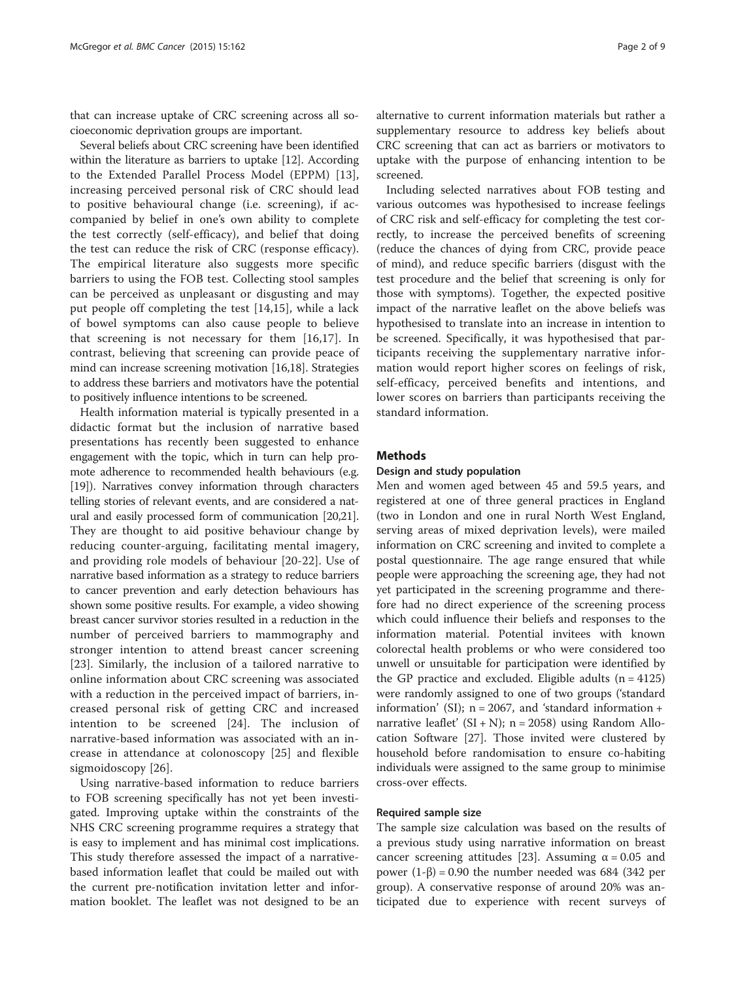that can increase uptake of CRC screening across all socioeconomic deprivation groups are important.

Several beliefs about CRC screening have been identified within the literature as barriers to uptake [\[12\]](#page-7-0). According to the Extended Parallel Process Model (EPPM) [[13](#page-7-0)], increasing perceived personal risk of CRC should lead to positive behavioural change (i.e. screening), if accompanied by belief in one's own ability to complete the test correctly (self-efficacy), and belief that doing the test can reduce the risk of CRC (response efficacy). The empirical literature also suggests more specific barriers to using the FOB test. Collecting stool samples can be perceived as unpleasant or disgusting and may put people off completing the test [[14,15](#page-7-0)], while a lack of bowel symptoms can also cause people to believe that screening is not necessary for them [\[16](#page-7-0),[17\]](#page-7-0). In contrast, believing that screening can provide peace of mind can increase screening motivation [[16,18](#page-7-0)]. Strategies to address these barriers and motivators have the potential to positively influence intentions to be screened.

Health information material is typically presented in a didactic format but the inclusion of narrative based presentations has recently been suggested to enhance engagement with the topic, which in turn can help promote adherence to recommended health behaviours (e.g. [[19](#page-7-0)]). Narratives convey information through characters telling stories of relevant events, and are considered a natural and easily processed form of communication [\[20,21](#page-7-0)]. They are thought to aid positive behaviour change by reducing counter-arguing, facilitating mental imagery, and providing role models of behaviour [[20-22\]](#page-7-0). Use of narrative based information as a strategy to reduce barriers to cancer prevention and early detection behaviours has shown some positive results. For example, a video showing breast cancer survivor stories resulted in a reduction in the number of perceived barriers to mammography and stronger intention to attend breast cancer screening [[23\]](#page-7-0). Similarly, the inclusion of a tailored narrative to online information about CRC screening was associated with a reduction in the perceived impact of barriers, increased personal risk of getting CRC and increased intention to be screened [[24\]](#page-7-0). The inclusion of narrative-based information was associated with an increase in attendance at colonoscopy [\[25](#page-7-0)] and flexible sigmoidoscopy [\[26](#page-7-0)].

Using narrative-based information to reduce barriers to FOB screening specifically has not yet been investigated. Improving uptake within the constraints of the NHS CRC screening programme requires a strategy that is easy to implement and has minimal cost implications. This study therefore assessed the impact of a narrativebased information leaflet that could be mailed out with the current pre-notification invitation letter and information booklet. The leaflet was not designed to be an

alternative to current information materials but rather a supplementary resource to address key beliefs about CRC screening that can act as barriers or motivators to uptake with the purpose of enhancing intention to be

Including selected narratives about FOB testing and various outcomes was hypothesised to increase feelings of CRC risk and self-efficacy for completing the test correctly, to increase the perceived benefits of screening (reduce the chances of dying from CRC, provide peace of mind), and reduce specific barriers (disgust with the test procedure and the belief that screening is only for those with symptoms). Together, the expected positive impact of the narrative leaflet on the above beliefs was hypothesised to translate into an increase in intention to be screened. Specifically, it was hypothesised that participants receiving the supplementary narrative information would report higher scores on feelings of risk, self-efficacy, perceived benefits and intentions, and lower scores on barriers than participants receiving the standard information.

## Methods

screened.

#### Design and study population

Men and women aged between 45 and 59.5 years, and registered at one of three general practices in England (two in London and one in rural North West England, serving areas of mixed deprivation levels), were mailed information on CRC screening and invited to complete a postal questionnaire. The age range ensured that while people were approaching the screening age, they had not yet participated in the screening programme and therefore had no direct experience of the screening process which could influence their beliefs and responses to the information material. Potential invitees with known colorectal health problems or who were considered too unwell or unsuitable for participation were identified by the GP practice and excluded. Eligible adults  $(n = 4125)$ were randomly assigned to one of two groups ('standard information' (SI);  $n = 2067$ , and 'standard information + narrative leaflet' (SI + N);  $n = 2058$ ) using Random Allocation Software [[27\]](#page-7-0). Those invited were clustered by household before randomisation to ensure co-habiting individuals were assigned to the same group to minimise cross-over effects.

#### Required sample size

The sample size calculation was based on the results of a previous study using narrative information on breast cancer screening attitudes [\[23\]](#page-7-0). Assuming  $\alpha = 0.05$  and power  $(1-\beta) = 0.90$  the number needed was 684 (342 per group). A conservative response of around 20% was anticipated due to experience with recent surveys of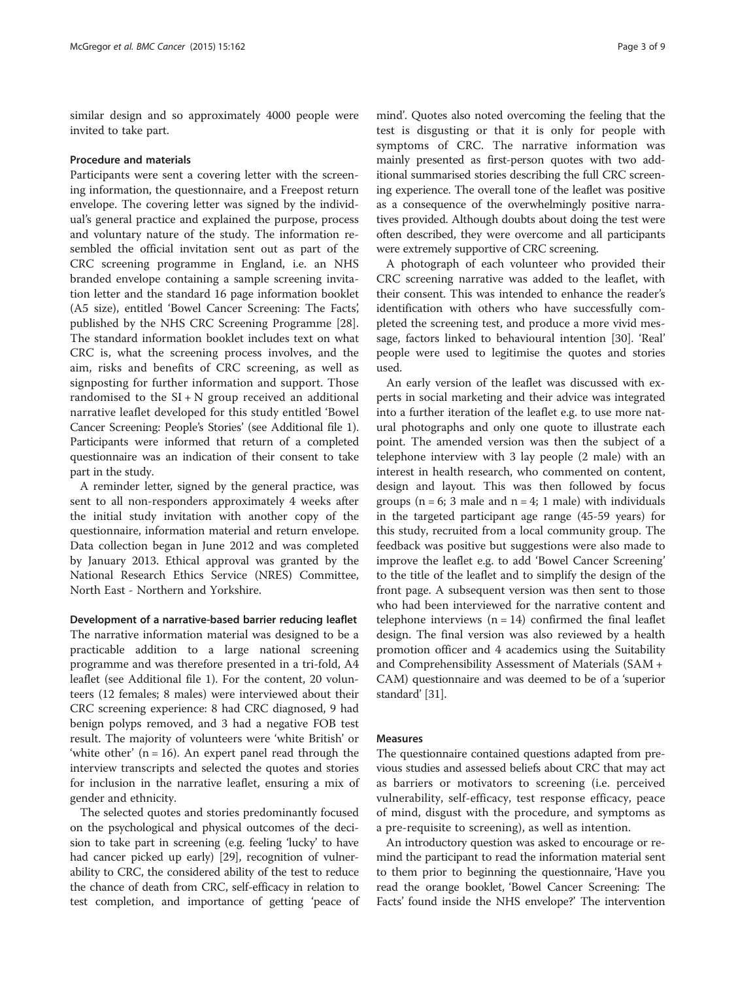similar design and so approximately 4000 people were invited to take part.

#### Procedure and materials

Participants were sent a covering letter with the screening information, the questionnaire, and a Freepost return envelope. The covering letter was signed by the individual's general practice and explained the purpose, process and voluntary nature of the study. The information resembled the official invitation sent out as part of the CRC screening programme in England, i.e. an NHS branded envelope containing a sample screening invitation letter and the standard 16 page information booklet (A5 size), entitled 'Bowel Cancer Screening: The Facts', published by the NHS CRC Screening Programme [\[28](#page-7-0)]. The standard information booklet includes text on what CRC is, what the screening process involves, and the aim, risks and benefits of CRC screening, as well as signposting for further information and support. Those randomised to the  $SI + N$  group received an additional narrative leaflet developed for this study entitled 'Bowel Cancer Screening: People's Stories' (see Additional file [1](#page-7-0)). Participants were informed that return of a completed questionnaire was an indication of their consent to take part in the study.

A reminder letter, signed by the general practice, was sent to all non-responders approximately 4 weeks after the initial study invitation with another copy of the questionnaire, information material and return envelope. Data collection began in June 2012 and was completed by January 2013. Ethical approval was granted by the National Research Ethics Service (NRES) Committee, North East - Northern and Yorkshire.

Development of a narrative-based barrier reducing leaflet The narrative information material was designed to be a practicable addition to a large national screening programme and was therefore presented in a tri-fold, A4 leaflet (see Additional file [1](#page-7-0)). For the content, 20 volunteers (12 females; 8 males) were interviewed about their CRC screening experience: 8 had CRC diagnosed, 9 had benign polyps removed, and 3 had a negative FOB test result. The majority of volunteers were 'white British' or 'white other'  $(n = 16)$ . An expert panel read through the interview transcripts and selected the quotes and stories for inclusion in the narrative leaflet, ensuring a mix of gender and ethnicity.

The selected quotes and stories predominantly focused on the psychological and physical outcomes of the decision to take part in screening (e.g. feeling 'lucky' to have had cancer picked up early) [[29](#page-7-0)], recognition of vulnerability to CRC, the considered ability of the test to reduce the chance of death from CRC, self-efficacy in relation to test completion, and importance of getting 'peace of

mind'. Quotes also noted overcoming the feeling that the test is disgusting or that it is only for people with symptoms of CRC. The narrative information was mainly presented as first-person quotes with two additional summarised stories describing the full CRC screening experience. The overall tone of the leaflet was positive as a consequence of the overwhelmingly positive narratives provided. Although doubts about doing the test were often described, they were overcome and all participants were extremely supportive of CRC screening.

A photograph of each volunteer who provided their CRC screening narrative was added to the leaflet, with their consent. This was intended to enhance the reader's identification with others who have successfully completed the screening test, and produce a more vivid message, factors linked to behavioural intention [[30\]](#page-8-0). 'Real' people were used to legitimise the quotes and stories used.

An early version of the leaflet was discussed with experts in social marketing and their advice was integrated into a further iteration of the leaflet e.g. to use more natural photographs and only one quote to illustrate each point. The amended version was then the subject of a telephone interview with 3 lay people (2 male) with an interest in health research, who commented on content, design and layout. This was then followed by focus groups ( $n = 6$ ; 3 male and  $n = 4$ ; 1 male) with individuals in the targeted participant age range (45-59 years) for this study, recruited from a local community group. The feedback was positive but suggestions were also made to improve the leaflet e.g. to add 'Bowel Cancer Screening' to the title of the leaflet and to simplify the design of the front page. A subsequent version was then sent to those who had been interviewed for the narrative content and telephone interviews  $(n = 14)$  confirmed the final leaflet design. The final version was also reviewed by a health promotion officer and 4 academics using the Suitability and Comprehensibility Assessment of Materials (SAM + CAM) questionnaire and was deemed to be of a 'superior standard' [[31](#page-8-0)].

#### Measures

The questionnaire contained questions adapted from previous studies and assessed beliefs about CRC that may act as barriers or motivators to screening (i.e. perceived vulnerability, self-efficacy, test response efficacy, peace of mind, disgust with the procedure, and symptoms as a pre-requisite to screening), as well as intention.

An introductory question was asked to encourage or remind the participant to read the information material sent to them prior to beginning the questionnaire, 'Have you read the orange booklet, 'Bowel Cancer Screening: The Facts' found inside the NHS envelope?' The intervention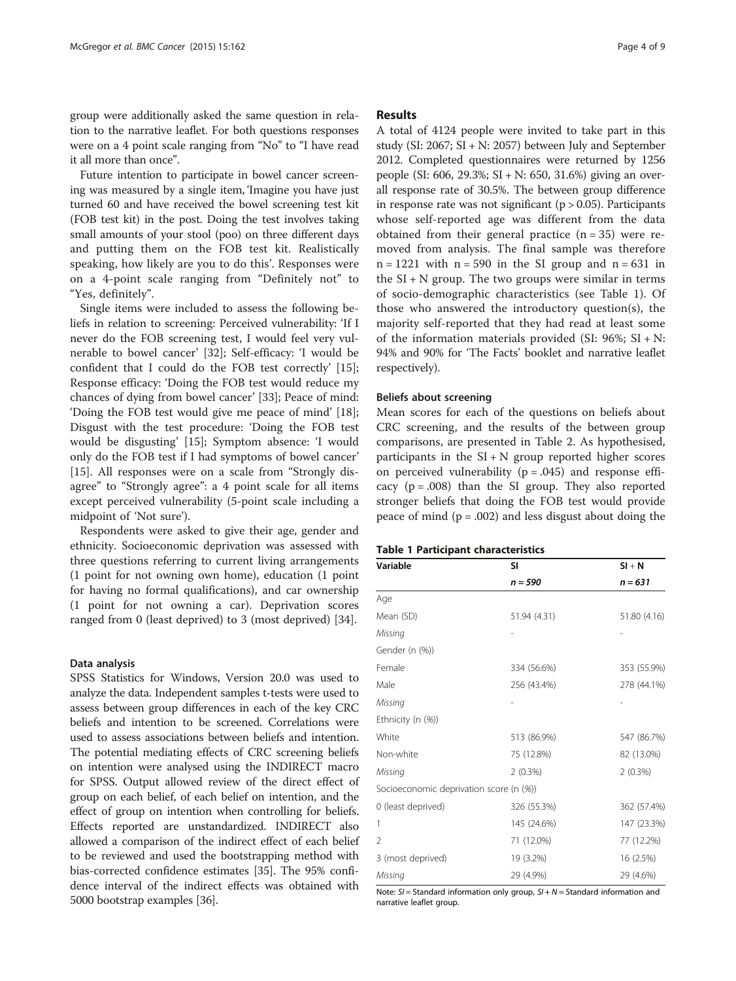group were additionally asked the same question in relation to the narrative leaflet. For both questions responses were on a 4 point scale ranging from "No" to "I have read it all more than once".

Future intention to participate in bowel cancer screening was measured by a single item, 'Imagine you have just turned 60 and have received the bowel screening test kit (FOB test kit) in the post. Doing the test involves taking small amounts of your stool (poo) on three different days and putting them on the FOB test kit. Realistically speaking, how likely are you to do this'. Responses were on a 4-point scale ranging from "Definitely not" to "Yes, definitely".

Single items were included to assess the following beliefs in relation to screening: Perceived vulnerability: 'If I never do the FOB screening test, I would feel very vulnerable to bowel cancer' [[32\]](#page-8-0); Self-efficacy: 'I would be confident that I could do the FOB test correctly' [\[15](#page-7-0)]; Response efficacy: 'Doing the FOB test would reduce my chances of dying from bowel cancer' [\[33](#page-8-0)]; Peace of mind: 'Doing the FOB test would give me peace of mind' [\[18](#page-7-0)]; Disgust with the test procedure: 'Doing the FOB test would be disgusting' [\[15](#page-7-0)]; Symptom absence: 'I would only do the FOB test if I had symptoms of bowel cancer' [[15\]](#page-7-0). All responses were on a scale from "Strongly disagree" to "Strongly agree": a 4 point scale for all items except perceived vulnerability (5-point scale including a midpoint of 'Not sure').

Respondents were asked to give their age, gender and ethnicity. Socioeconomic deprivation was assessed with three questions referring to current living arrangements (1 point for not owning own home), education (1 point for having no formal qualifications), and car ownership (1 point for not owning a car). Deprivation scores ranged from 0 (least deprived) to 3 (most deprived) [[34\]](#page-8-0).

#### Data analysis

SPSS Statistics for Windows, Version 20.0 was used to analyze the data. Independent samples t-tests were used to assess between group differences in each of the key CRC beliefs and intention to be screened. Correlations were used to assess associations between beliefs and intention. The potential mediating effects of CRC screening beliefs on intention were analysed using the INDIRECT macro for SPSS. Output allowed review of the direct effect of group on each belief, of each belief on intention, and the effect of group on intention when controlling for beliefs. Effects reported are unstandardized. INDIRECT also allowed a comparison of the indirect effect of each belief to be reviewed and used the bootstrapping method with bias-corrected confidence estimates [\[35](#page-8-0)]. The 95% confidence interval of the indirect effects was obtained with 5000 bootstrap examples [[36](#page-8-0)].

#### Results

A total of 4124 people were invited to take part in this study (SI: 2067; SI + N: 2057) between July and September 2012. Completed questionnaires were returned by 1256 people (SI: 606, 29.3%; SI + N: 650, 31.6%) giving an overall response rate of 30.5%. The between group difference in response rate was not significant ( $p > 0.05$ ). Participants whose self-reported age was different from the data obtained from their general practice  $(n = 35)$  were removed from analysis. The final sample was therefore  $n = 1221$  with  $n = 590$  in the SI group and  $n = 631$  in the  $SI + N$  group. The two groups were similar in terms of socio-demographic characteristics (see Table 1). Of those who answered the introductory question(s), the majority self-reported that they had read at least some of the information materials provided (SI:  $96\%$ ; SI + N: 94% and 90% for 'The Facts' booklet and narrative leaflet respectively).

#### Beliefs about screening

Mean scores for each of the questions on beliefs about CRC screening, and the results of the between group comparisons, are presented in Table [2.](#page-4-0) As hypothesised, participants in the  $SI + N$  group reported higher scores on perceived vulnerability  $(p = .045)$  and response efficacy  $(p = .008)$  than the SI group. They also reported stronger beliefs that doing the FOB test would provide peace of mind  $(p = .002)$  and less disgust about doing the

#### Table 1 Participant characteristics

| Variable                                | SI                                                                                | $SI + N$     |  |
|-----------------------------------------|-----------------------------------------------------------------------------------|--------------|--|
|                                         | $n = 590$                                                                         | $n = 631$    |  |
| Age                                     |                                                                                   |              |  |
| Mean (SD)                               | 51.94 (4.31)                                                                      | 51.80 (4.16) |  |
| Missing                                 |                                                                                   |              |  |
| Gender (n (%))                          |                                                                                   |              |  |
| Female                                  | 334 (56.6%)                                                                       | 353 (55.9%)  |  |
| Male                                    | 256 (43.4%)                                                                       | 278 (44.1%)  |  |
| Missing                                 |                                                                                   |              |  |
| Ethnicity (n (%))                       |                                                                                   |              |  |
| White                                   | 513 (86.9%)                                                                       | 547 (86.7%)  |  |
| Non-white                               | 75 (12.8%)                                                                        | 82 (13.0%)   |  |
| Missing                                 | $2(0.3\%)$                                                                        | 2(0.3%)      |  |
| Socioeconomic deprivation score (n (%)) |                                                                                   |              |  |
| 0 (least deprived)                      | 326 (55.3%)                                                                       | 362 (57.4%)  |  |
| 1                                       | 145 (24.6%)                                                                       | 147 (23.3%)  |  |
| 2                                       | 71 (12.0%)                                                                        | 77 (12.2%)   |  |
| 3 (most deprived)                       | 19 (3.2%)                                                                         | 16 (2.5%)    |  |
| Missing                                 | 29 (4.9%)                                                                         | 29 (4.6%)    |  |
|                                         | Note: $SI$ = Standard information only group, $SI + N$ = Standard information and |              |  |

narrative leaflet group.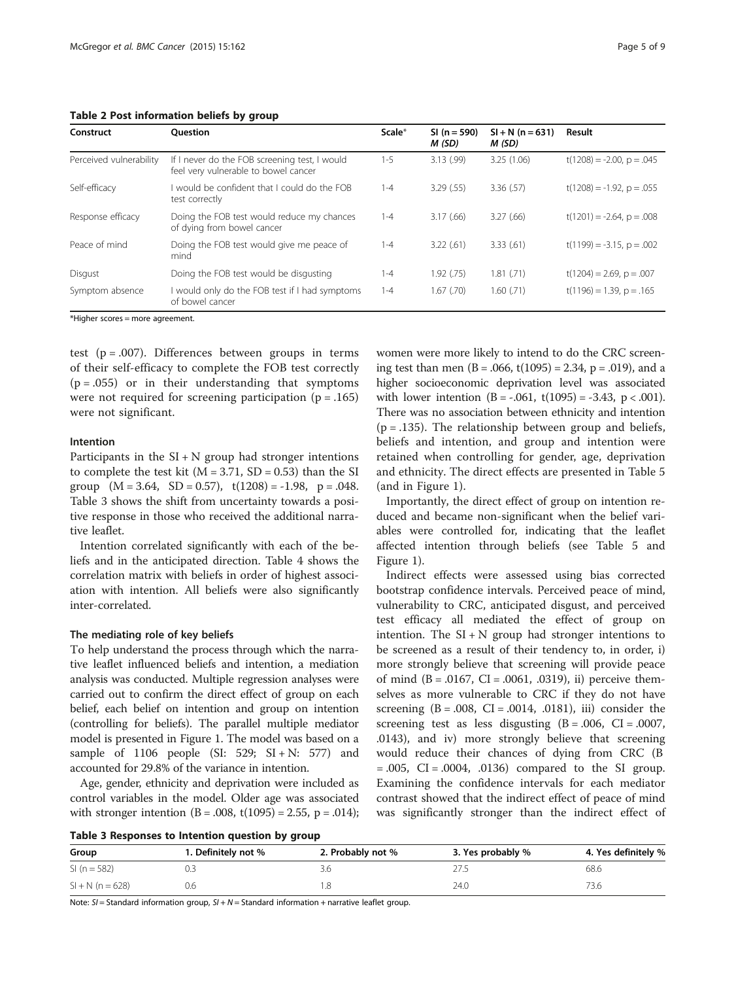<span id="page-4-0"></span>Table 2 Post information beliefs by group

| Construct               | <b>Ouestion</b>                                                                       | Scale*  | $SI (n = 590)$<br>M (SD) | $SI + N (n = 631)$<br>M (SD) | Result                         |
|-------------------------|---------------------------------------------------------------------------------------|---------|--------------------------|------------------------------|--------------------------------|
| Perceived vulnerability | If I never do the FOB screening test, I would<br>feel very vulnerable to bowel cancer | $1 - 5$ | 3.13(99)                 | 3.25(1.06)                   | $t(1208) = -2.00$ , $p = .045$ |
| Self-efficacy           | I would be confident that I could do the FOB<br>test correctly                        | $1 - 4$ | 3.29(55)                 | 3.36(.57)                    | $t(1208) = -1.92$ , $p = .055$ |
| Response efficacy       | Doing the FOB test would reduce my chances<br>of dying from bowel cancer              | 1-4     | 3.17(66)                 | 3.27(66)                     | $t(1201) = -2.64$ , $p = .008$ |

Disgust Doing the FOB test would be disgusting  $1-4$  1.92 (.75) 1.81 (.71) t(1204) = 2.69, p = .007

\*Higher scores = more agreement.

test ( $p = .007$ ). Differences between groups in terms of their self-efficacy to complete the FOB test correctly  $(p=.055)$  or in their understanding that symptoms were not required for screening participation ( $p = .165$ ) were not significant.

Peace of mind Doing the FOB test would give me peace of

Symptom absence I would only do the FOB test if I had symptoms of bowel cancer

mind

#### Intention

Participants in the  $SI + N$  group had stronger intentions to complete the test kit ( $M = 3.71$ , SD = 0.53) than the SI group  $(M = 3.64, SD = 0.57)$ ,  $t(1208) = -1.98$ ,  $p = .048$ . Table 3 shows the shift from uncertainty towards a positive response in those who received the additional narrative leaflet.

Intention correlated significantly with each of the beliefs and in the anticipated direction. Table [4](#page-5-0) shows the correlation matrix with beliefs in order of highest association with intention. All beliefs were also significantly inter-correlated.

#### The mediating role of key beliefs

To help understand the process through which the narrative leaflet influenced beliefs and intention, a mediation analysis was conducted. Multiple regression analyses were carried out to confirm the direct effect of group on each belief, each belief on intention and group on intention (controlling for beliefs). The parallel multiple mediator model is presented in Figure [1.](#page-5-0) The model was based on a sample of 1106 people (SI:  $529$ ; SI + N:  $577$ ) and accounted for 29.8% of the variance in intention.

Age, gender, ethnicity and deprivation were included as control variables in the model. Older age was associated with stronger intention  $(B = .008, t(1095) = 2.55, p = .014)$ ;

women were more likely to intend to do the CRC screening test than men (B = .066, t(1095) = 2.34, p = .019), and a higher socioeconomic deprivation level was associated with lower intention  $(B = -.061, t(1095) = -3.43, p < .001)$ . There was no association between ethnicity and intention  $(p = .135)$ . The relationship between group and beliefs, beliefs and intention, and group and intention were retained when controlling for gender, age, deprivation and ethnicity. The direct effects are presented in Table [5](#page-6-0) (and in Figure [1\)](#page-5-0).

1-4  $3.22$  (.61)  $3.33$  (.61)  $t(1199) = -3.15$ , p = .002

1-4 1.67 (.70) 1.60 (.71)  $t(1196) = 1.39, p = .165$ 

Importantly, the direct effect of group on intention reduced and became non-significant when the belief variables were controlled for, indicating that the leaflet affected intention through beliefs (see Table [5](#page-6-0) and Figure [1](#page-5-0)).

Indirect effects were assessed using bias corrected bootstrap confidence intervals. Perceived peace of mind, vulnerability to CRC, anticipated disgust, and perceived test efficacy all mediated the effect of group on intention. The  $SI + N$  group had stronger intentions to be screened as a result of their tendency to, in order, i) more strongly believe that screening will provide peace of mind  $(B = .0167, CI = .0061, .0319)$ , ii) perceive themselves as more vulnerable to CRC if they do not have screening  $(B = .008, CI = .0014, .0181),$  iii) consider the screening test as less disgusting  $(B = .006, CI = .0007,$ .0143), and iv) more strongly believe that screening would reduce their chances of dying from CRC (B  $= .005, \text{ CI} = .0004, \text{ .0136}$  compared to the SI group. Examining the confidence intervals for each mediator contrast showed that the indirect effect of peace of mind was significantly stronger than the indirect effect of

Table 3 Responses to Intention question by group

| Group              | 1. Definitely not % | 2. Probably not % | 3. Yes probably % | 4. Yes definitely % |  |  |  |
|--------------------|---------------------|-------------------|-------------------|---------------------|--|--|--|
| SI $(n = 582)$     |                     |                   |                   | 68.6                |  |  |  |
| $SI + N (n = 628)$ | U.b                 | .ඊ                | 24.0              | 73.6                |  |  |  |

Note:  $SI =$  Standard information group,  $SI + N =$  Standard information + narrative leaflet group.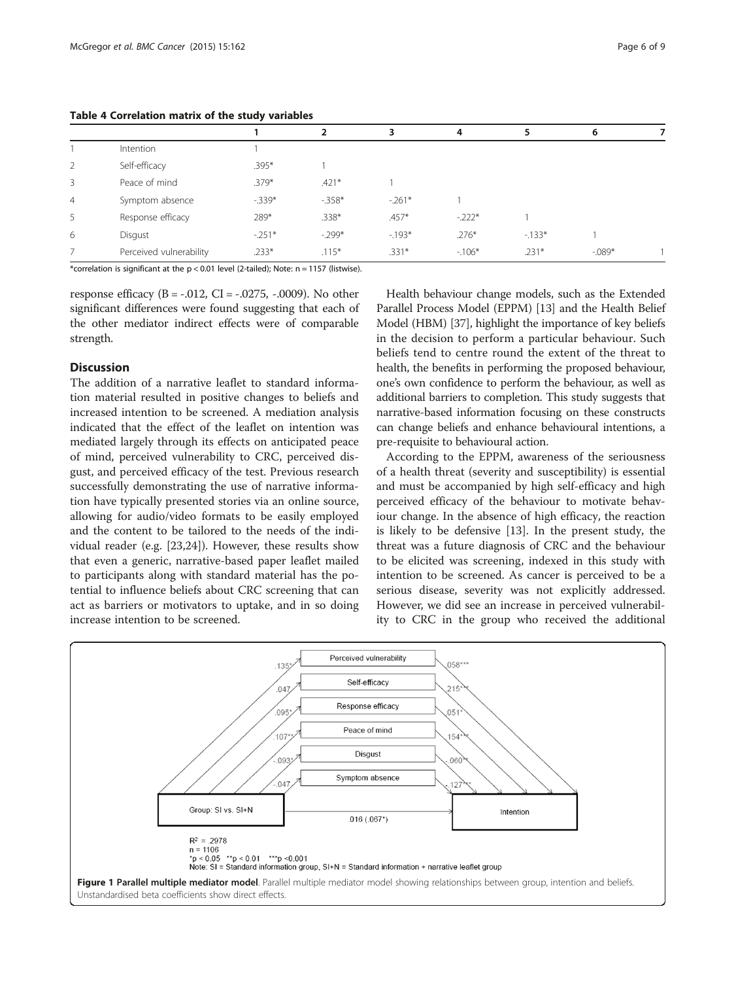<span id="page-5-0"></span>Table 4 Correlation matrix of the study variables

| TWATE I SUITURESTUIT HIMSITA UT SITE JERRY THITMATEJ |                         |         |         |         |         |         |           |  |
|------------------------------------------------------|-------------------------|---------|---------|---------|---------|---------|-----------|--|
|                                                      |                         |         | 2       | 3       | 4       | 5       | 6         |  |
|                                                      | Intention               |         |         |         |         |         |           |  |
| 2                                                    | Self-efficacy           | $.395*$ |         |         |         |         |           |  |
| 3                                                    | Peace of mind           | $.379*$ | $.421*$ |         |         |         |           |  |
| $\overline{4}$                                       | Symptom absence         | $-339*$ | $-358*$ | $-261*$ |         |         |           |  |
| 5                                                    | Response efficacy       | 289*    | .338*   | $.457*$ | $-222*$ |         |           |  |
| 6                                                    | Disgust                 | $-251*$ | $-299*$ | $-193*$ | $.276*$ | $-133*$ |           |  |
| 7                                                    | Perceived vulnerability | $.233*$ | $.115*$ | $.331*$ | $-106*$ | $.231*$ | $-0.089*$ |  |

\*correlation is significant at the  $p < 0.01$  level (2-tailed): Note:  $n = 1157$  (listwise).

response efficacy (B =  $-.012$ , CI =  $-.0275$ ,  $-.0009$ ). No other significant differences were found suggesting that each of the other mediator indirect effects were of comparable strength.

# Discussion

The addition of a narrative leaflet to standard information material resulted in positive changes to beliefs and increased intention to be screened. A mediation analysis indicated that the effect of the leaflet on intention was mediated largely through its effects on anticipated peace of mind, perceived vulnerability to CRC, perceived disgust, and perceived efficacy of the test. Previous research successfully demonstrating the use of narrative information have typically presented stories via an online source, allowing for audio/video formats to be easily employed and the content to be tailored to the needs of the individual reader (e.g. [\[23,24\]](#page-7-0)). However, these results show that even a generic, narrative-based paper leaflet mailed to participants along with standard material has the potential to influence beliefs about CRC screening that can act as barriers or motivators to uptake, and in so doing increase intention to be screened.

Health behaviour change models, such as the Extended Parallel Process Model (EPPM) [\[13\]](#page-7-0) and the Health Belief Model (HBM) [[37](#page-8-0)], highlight the importance of key beliefs in the decision to perform a particular behaviour. Such beliefs tend to centre round the extent of the threat to health, the benefits in performing the proposed behaviour, one's own confidence to perform the behaviour, as well as additional barriers to completion. This study suggests that narrative-based information focusing on these constructs can change beliefs and enhance behavioural intentions, a pre-requisite to behavioural action.

According to the EPPM, awareness of the seriousness of a health threat (severity and susceptibility) is essential and must be accompanied by high self-efficacy and high perceived efficacy of the behaviour to motivate behaviour change. In the absence of high efficacy, the reaction is likely to be defensive [[13\]](#page-7-0). In the present study, the threat was a future diagnosis of CRC and the behaviour to be elicited was screening, indexed in this study with intention to be screened. As cancer is perceived to be a serious disease, severity was not explicitly addressed. However, we did see an increase in perceived vulnerability to CRC in the group who received the additional

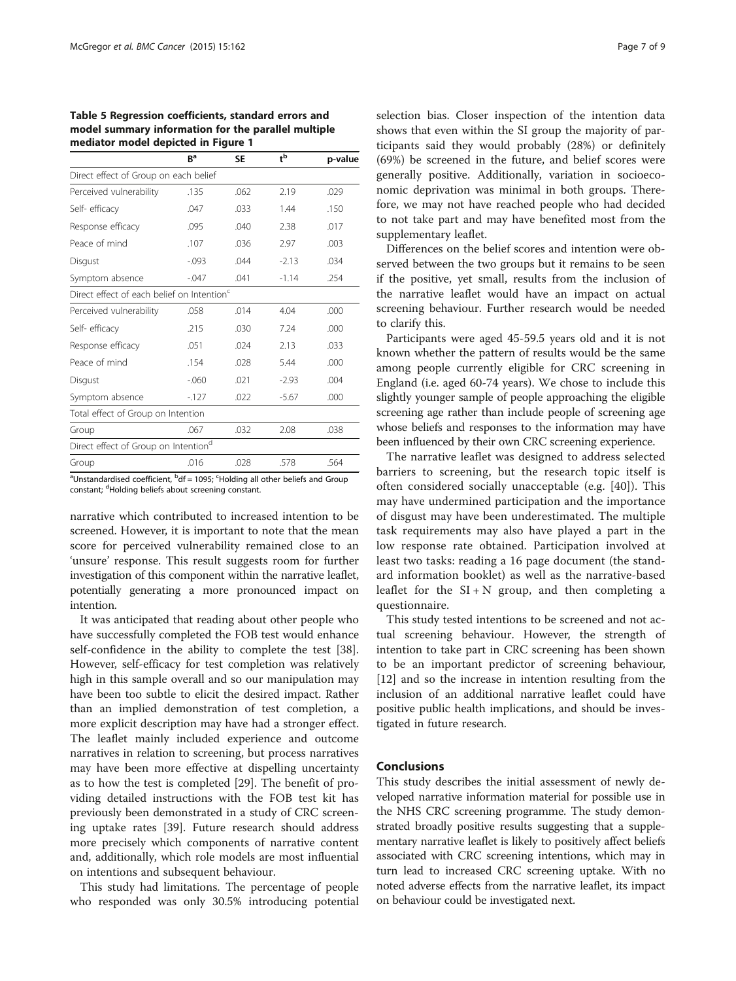|                                                        | $R^a$                                                                                                                                                                                                                           | <b>SE</b> | $t^{\mathsf{b}}$ | p-value |
|--------------------------------------------------------|---------------------------------------------------------------------------------------------------------------------------------------------------------------------------------------------------------------------------------|-----------|------------------|---------|
| Direct effect of Group on each belief                  |                                                                                                                                                                                                                                 |           |                  |         |
| Perceived vulnerability                                | .135                                                                                                                                                                                                                            | .062      | 2.19             | .029    |
| Self- efficacy                                         | .047                                                                                                                                                                                                                            | .033      | 1.44             | .150    |
| Response efficacy                                      | .095                                                                                                                                                                                                                            | .040      | 2.38             | .017    |
| Peace of mind                                          | .107                                                                                                                                                                                                                            | .036      | 2.97             | .003    |
| Disgust                                                | $-0.093$                                                                                                                                                                                                                        | .044      | $-2.13$          | .034    |
| Symptom absence                                        | $-0.047$                                                                                                                                                                                                                        | .041      | $-1.14$          | .254    |
| Direct effect of each belief on Intention <sup>c</sup> |                                                                                                                                                                                                                                 |           |                  |         |
| Perceived vulnerability                                | .058                                                                                                                                                                                                                            | .014      | 4.04             | .000    |
| Self- efficacy                                         | .215                                                                                                                                                                                                                            | .030      | 7.24             | .000    |
| Response efficacy                                      | .051                                                                                                                                                                                                                            | .024      | 2.13             | .033    |
| Peace of mind                                          | .154                                                                                                                                                                                                                            | .028      | 5.44             | .000    |
| Disgust                                                | $-060$                                                                                                                                                                                                                          | .021      | $-2.93$          | .004    |
| Symptom absence                                        | $-127$                                                                                                                                                                                                                          | .022      | $-5.67$          | .000    |
| Total effect of Group on Intention                     |                                                                                                                                                                                                                                 |           |                  |         |
| Group                                                  | .067                                                                                                                                                                                                                            | .032      | 2.08             | .038    |
| Direct effect of Group on Intentiond                   |                                                                                                                                                                                                                                 |           |                  |         |
| Group                                                  | .016                                                                                                                                                                                                                            | .028      | .578             | .564    |
| المساوي والمعاوية والمستحقق والملاقة                   | $\sim$ Construction of the constant of the state of the construction of the Constant of the Constant of the Constant of the Constant of the Constant of the Constant of the Constant of the Constant of the Constant of the Con |           |                  | $\sim$  |

<span id="page-6-0"></span>Table 5 Regression coefficients, standard errors and model summary information for the parallel multiple mediator model depicted in Figure [1](#page-5-0)

<sup>a</sup>Unstandardised coefficient, <sup>b</sup>df = 1095; <sup>c</sup>Holding all other beliefs and Group constant; <sup>d</sup>Holding beliefs about screening constant.

narrative which contributed to increased intention to be screened. However, it is important to note that the mean score for perceived vulnerability remained close to an 'unsure' response. This result suggests room for further investigation of this component within the narrative leaflet, potentially generating a more pronounced impact on intention.

It was anticipated that reading about other people who have successfully completed the FOB test would enhance self-confidence in the ability to complete the test [\[38](#page-8-0)]. However, self-efficacy for test completion was relatively high in this sample overall and so our manipulation may have been too subtle to elicit the desired impact. Rather than an implied demonstration of test completion, a more explicit description may have had a stronger effect. The leaflet mainly included experience and outcome narratives in relation to screening, but process narratives may have been more effective at dispelling uncertainty as to how the test is completed [[29\]](#page-7-0). The benefit of providing detailed instructions with the FOB test kit has previously been demonstrated in a study of CRC screening uptake rates [\[39](#page-8-0)]. Future research should address more precisely which components of narrative content and, additionally, which role models are most influential on intentions and subsequent behaviour.

This study had limitations. The percentage of people who responded was only 30.5% introducing potential selection bias. Closer inspection of the intention data shows that even within the SI group the majority of participants said they would probably (28%) or definitely (69%) be screened in the future, and belief scores were generally positive. Additionally, variation in socioeconomic deprivation was minimal in both groups. Therefore, we may not have reached people who had decided to not take part and may have benefited most from the supplementary leaflet.

Differences on the belief scores and intention were observed between the two groups but it remains to be seen if the positive, yet small, results from the inclusion of the narrative leaflet would have an impact on actual screening behaviour. Further research would be needed to clarify this.

Participants were aged 45-59.5 years old and it is not known whether the pattern of results would be the same among people currently eligible for CRC screening in England (i.e. aged 60-74 years). We chose to include this slightly younger sample of people approaching the eligible screening age rather than include people of screening age whose beliefs and responses to the information may have been influenced by their own CRC screening experience.

The narrative leaflet was designed to address selected barriers to screening, but the research topic itself is often considered socially unacceptable (e.g. [\[40](#page-8-0)]). This may have undermined participation and the importance of disgust may have been underestimated. The multiple task requirements may also have played a part in the low response rate obtained. Participation involved at least two tasks: reading a 16 page document (the standard information booklet) as well as the narrative-based leaflet for the  $SI + N$  group, and then completing a questionnaire.

This study tested intentions to be screened and not actual screening behaviour. However, the strength of intention to take part in CRC screening has been shown to be an important predictor of screening behaviour, [[12\]](#page-7-0) and so the increase in intention resulting from the inclusion of an additional narrative leaflet could have positive public health implications, and should be investigated in future research.

# Conclusions

This study describes the initial assessment of newly developed narrative information material for possible use in the NHS CRC screening programme. The study demonstrated broadly positive results suggesting that a supplementary narrative leaflet is likely to positively affect beliefs associated with CRC screening intentions, which may in turn lead to increased CRC screening uptake. With no noted adverse effects from the narrative leaflet, its impact on behaviour could be investigated next.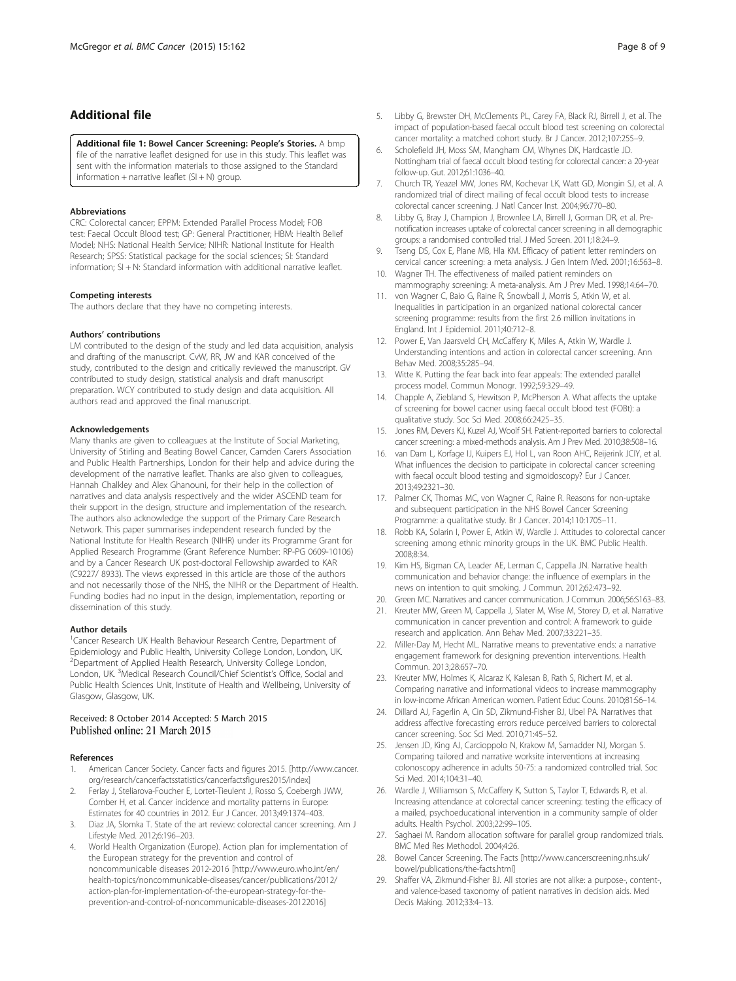# <span id="page-7-0"></span>Additional file

[Additional file 1:](http://www.biomedcentral.com/content/supplementary/s12885-015-1167-3-s1.tiff) Bowel Cancer Screening: People's Stories. A bmp file of the narrative leaflet designed for use in this study. This leaflet was sent with the information materials to those assigned to the Standard information + narrative leaflet  $(SI + N)$  group.

#### Abbreviations

CRC: Colorectal cancer; EPPM: Extended Parallel Process Model; FOB test: Faecal Occult Blood test; GP: General Practitioner; HBM: Health Belief Model; NHS: National Health Service; NIHR: National Institute for Health Research; SPSS: Statistical package for the social sciences; SI: Standard information; SI + N: Standard information with additional narrative leaflet.

#### Competing interests

The authors declare that they have no competing interests.

#### Authors' contributions

LM contributed to the design of the study and led data acquisition, analysis and drafting of the manuscript. CvW, RR, JW and KAR conceived of the study, contributed to the design and critically reviewed the manuscript. GV contributed to study design, statistical analysis and draft manuscript preparation. WCY contributed to study design and data acquisition. All authors read and approved the final manuscript.

#### Acknowledgements

Many thanks are given to colleagues at the Institute of Social Marketing, University of Stirling and Beating Bowel Cancer, Camden Carers Association and Public Health Partnerships, London for their help and advice during the development of the narrative leaflet. Thanks are also given to colleagues, Hannah Chalkley and Alex Ghanouni, for their help in the collection of narratives and data analysis respectively and the wider ASCEND team for their support in the design, structure and implementation of the research. The authors also acknowledge the support of the Primary Care Research Network. This paper summarises independent research funded by the National Institute for Health Research (NIHR) under its Programme Grant for Applied Research Programme (Grant Reference Number: RP-PG 0609-10106) and by a Cancer Research UK post-doctoral Fellowship awarded to KAR (C9227/ 8933). The views expressed in this article are those of the authors and not necessarily those of the NHS, the NIHR or the Department of Health. Funding bodies had no input in the design, implementation, reporting or dissemination of this study.

#### Author details

<sup>1</sup> Cancer Research UK Health Behaviour Research Centre, Department of Epidemiology and Public Health, University College London, London, UK. <sup>2</sup> Department of Applied Health Research, University College London, London, UK. <sup>3</sup>Medical Research Council/Chief Scientist's Office, Social and Public Health Sciences Unit, Institute of Health and Wellbeing, University of Glasgow, Glasgow, UK.

# Received: 8 October 2014 Accepted: 5 March 2015

#### References

- 1. American Cancer Society. Cancer facts and figures 2015. [[http://www.cancer.](http://www.cancer.org/research/cancerfactsstatistics/cancerfactsfigures2015/index) [org/research/cancerfactsstatistics/cancerfactsfigures2015/index\]](http://www.cancer.org/research/cancerfactsstatistics/cancerfactsfigures2015/index)
- 2. Ferlay J, Steliarova-Foucher E, Lortet-Tieulent J, Rosso S, Coebergh JWW, Comber H, et al. Cancer incidence and mortality patterns in Europe: Estimates for 40 countries in 2012. Eur J Cancer. 2013;49:1374–403.
- 3. Diaz JA, Slomka T. State of the art review: colorectal cancer screening. Am J Lifestyle Med. 2012;6:196–203.
- 4. World Health Organization (Europe). Action plan for implementation of the European strategy for the prevention and control of noncommunicable diseases 2012-2016 [[http://www.euro.who.int/en/](http://www.euro.who.int/en/health-topics/noncommunicable-diseases/cancer/publications/2012/action-plan-for-implementation-of-the-european-strategy-for-the-prevention-and-control-of-noncommunicable-diseases-20122016) [health-topics/noncommunicable-diseases/cancer/publications/2012/](http://www.euro.who.int/en/health-topics/noncommunicable-diseases/cancer/publications/2012/action-plan-for-implementation-of-the-european-strategy-for-the-prevention-and-control-of-noncommunicable-diseases-20122016) [action-plan-for-implementation-of-the-european-strategy-for-the](http://www.euro.who.int/en/health-topics/noncommunicable-diseases/cancer/publications/2012/action-plan-for-implementation-of-the-european-strategy-for-the-prevention-and-control-of-noncommunicable-diseases-20122016)[prevention-and-control-of-noncommunicable-diseases-20122016\]](http://www.euro.who.int/en/health-topics/noncommunicable-diseases/cancer/publications/2012/action-plan-for-implementation-of-the-european-strategy-for-the-prevention-and-control-of-noncommunicable-diseases-20122016)
- 5. Libby G, Brewster DH, McClements PL, Carey FA, Black RJ, Birrell J, et al. The impact of population-based faecal occult blood test screening on colorectal cancer mortality: a matched cohort study. Br J Cancer. 2012;107:255–9.
- 6. Scholefield JH, Moss SM, Mangham CM, Whynes DK, Hardcastle JD. Nottingham trial of faecal occult blood testing for colorectal cancer: a 20-year follow-up. Gut. 2012;61:1036–40.
- 7. Church TR, Yeazel MW, Jones RM, Kochevar LK, Watt GD, Mongin SJ, et al. A randomized trial of direct mailing of fecal occult blood tests to increase colorectal cancer screening. J Natl Cancer Inst. 2004;96:770–80.
- 8. Libby G, Bray J, Champion J, Brownlee LA, Birrell J, Gorman DR, et al. Prenotification increases uptake of colorectal cancer screening in all demographic groups: a randomised controlled trial. J Med Screen. 2011;18:24–9.
- 9. Tseng DS, Cox E, Plane MB, Hla KM. Efficacy of patient letter reminders on cervical cancer screening: a meta analysis. J Gen Intern Med. 2001;16:563–8.
- 10. Wagner TH. The effectiveness of mailed patient reminders on mammography screening: A meta-analysis. Am J Prev Med. 1998;14:64–70.
- 11. von Wagner C, Baio G, Raine R, Snowball J, Morris S, Atkin W, et al. Inequalities in participation in an organized national colorectal cancer screening programme: results from the first 2.6 million invitations in England. Int J Epidemiol. 2011;40:712–8.
- 12. Power E, Van Jaarsveld CH, McCaffery K, Miles A, Atkin W, Wardle J. Understanding intentions and action in colorectal cancer screening. Ann Behav Med. 2008;35:285–94.
- 13. Witte K. Putting the fear back into fear appeals: The extended parallel process model. Commun Monogr. 1992;59:329–49.
- 14. Chapple A, Ziebland S, Hewitson P, McPherson A. What affects the uptake of screening for bowel cacner using faecal occult blood test (FOBt): a qualitative study. Soc Sci Med. 2008;66:2425–35.
- 15. Jones RM, Devers KJ, Kuzel AJ, Woolf SH. Patient-reported barriers to colorectal cancer screening: a mixed-methods analysis. Am J Prev Med. 2010;38:508–16.
- 16. van Dam L, Korfage IJ, Kuipers EJ, Hol L, van Roon AHC, Reijerink JCIY, et al. What influences the decision to participate in colorectal cancer screening with faecal occult blood testing and sigmoidoscopy? Eur J Cancer. 2013;49:2321–30.
- 17. Palmer CK, Thomas MC, von Wagner C, Raine R. Reasons for non-uptake and subsequent participation in the NHS Bowel Cancer Screening Programme: a qualitative study. Br J Cancer. 2014;110:1705–11.
- 18. Robb KA, Solarin I, Power E, Atkin W, Wardle J. Attitudes to colorectal cancer screening among ethnic minority groups in the UK. BMC Public Health. 2008;8:34.
- 19. Kim HS, Bigman CA, Leader AE, Lerman C, Cappella JN. Narrative health communication and behavior change: the influence of exemplars in the news on intention to quit smoking. J Commun. 2012;62:473–92.
- 20. Green MC. Narratives and cancer communication. J Commun. 2006;56:S163–83.
- 21. Kreuter MW, Green M, Cappella J, Slater M, Wise M, Storey D, et al. Narrative communication in cancer prevention and control: A framework to guide research and application. Ann Behav Med. 2007;33:221–35.
- 22. Miller-Day M, Hecht ML. Narrative means to preventative ends: a narrative engagement framework for designing prevention interventions. Health Commun. 2013;28:657–70.
- 23. Kreuter MW, Holmes K, Alcaraz K, Kalesan B, Rath S, Richert M, et al. Comparing narrative and informational videos to increase mammography in low-income African American women. Patient Educ Couns. 2010;81:S6–14.
- 24. Dillard AJ, Fagerlin A, Cin SD, Zikmund-Fisher BJ, Ubel PA. Narratives that address affective forecasting errors reduce perceived barriers to colorectal cancer screening. Soc Sci Med. 2010;71:45–52.
- 25. Jensen JD, King AJ, Carcioppolo N, Krakow M, Samadder NJ, Morgan S. Comparing tailored and narrative worksite interventions at increasing colonoscopy adherence in adults 50-75: a randomized controlled trial. Soc Sci Med. 2014;104:31–40.
- 26. Wardle J, Williamson S, McCaffery K, Sutton S, Taylor T, Edwards R, et al. Increasing attendance at colorectal cancer screening: testing the efficacy of a mailed, psychoeducational intervention in a community sample of older adults. Health Psychol. 2003;22:99–105.
- 27. Saghaei M. Random allocation software for parallel group randomized trials. BMC Med Res Methodol. 2004;4:26.
- 28. Bowel Cancer Screening. The Facts [\[http://www.cancerscreening.nhs.uk/](http://www.cancerscreening.nhs.uk/bowel/publications/the-facts.html) [bowel/publications/the-facts.html\]](http://www.cancerscreening.nhs.uk/bowel/publications/the-facts.html)
- 29. Shaffer VA, Zikmund-Fisher BJ. All stories are not alike: a purpose-, content-, and valence-based taxonomy of patient narratives in decision aids. Med Decis Making. 2012;33:4–13.